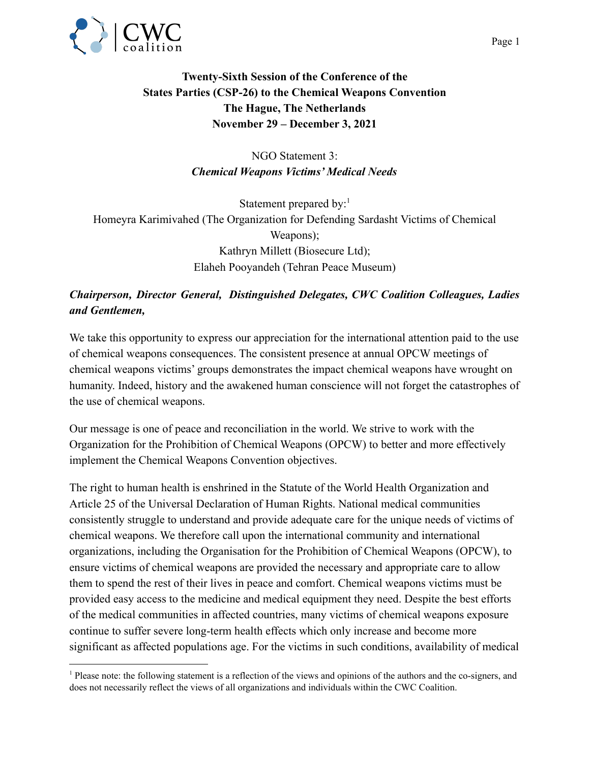

## **Twenty-Sixth Session of the Conference of the States Parties (CSP-26) to the Chemical Weapons Convention The Hague, The Netherlands November 29 – December 3, 2021**

NGO Statement 3: *Chemical Weapons Victims' Medical Needs*

Statement prepared by: $<sup>1</sup>$ </sup> Homeyra Karimivahed (The Organization for Defending Sardasht Victims of Chemical Weapons); Kathryn Millett (Biosecure Ltd); Elaheh Pooyandeh (Tehran Peace Museum)

## *Chairperson, Director General, Distinguished Delegates, CWC Coalition Colleagues, Ladies and Gentlemen,*

We take this opportunity to express our appreciation for the international attention paid to the use of chemical weapons consequences. The consistent presence at annual OPCW meetings of chemical weapons victims' groups demonstrates the impact chemical weapons have wrought on humanity. Indeed, history and the awakened human conscience will not forget the catastrophes of the use of chemical weapons.

Our message is one of peace and reconciliation in the world. We strive to work with the Organization for the Prohibition of Chemical Weapons (OPCW) to better and more effectively implement the Chemical Weapons Convention objectives.

The right to human health is enshrined in the Statute of the World Health Organization and Article 25 of the Universal Declaration of Human Rights. National medical communities consistently struggle to understand and provide adequate care for the unique needs of victims of chemical weapons. We therefore call upon the international community and international organizations, including the Organisation for the Prohibition of Chemical Weapons (OPCW), to ensure victims of chemical weapons are provided the necessary and appropriate care to allow them to spend the rest of their lives in peace and comfort. Chemical weapons victims must be provided easy access to the medicine and medical equipment they need. Despite the best efforts of the medical communities in affected countries, many victims of chemical weapons exposure continue to suffer severe long-term health effects which only increase and become more significant as affected populations age. For the victims in such conditions, availability of medical

<sup>1</sup> Please note: the following statement is a reflection of the views and opinions of the authors and the co-signers, and does not necessarily reflect the views of all organizations and individuals within the CWC Coalition.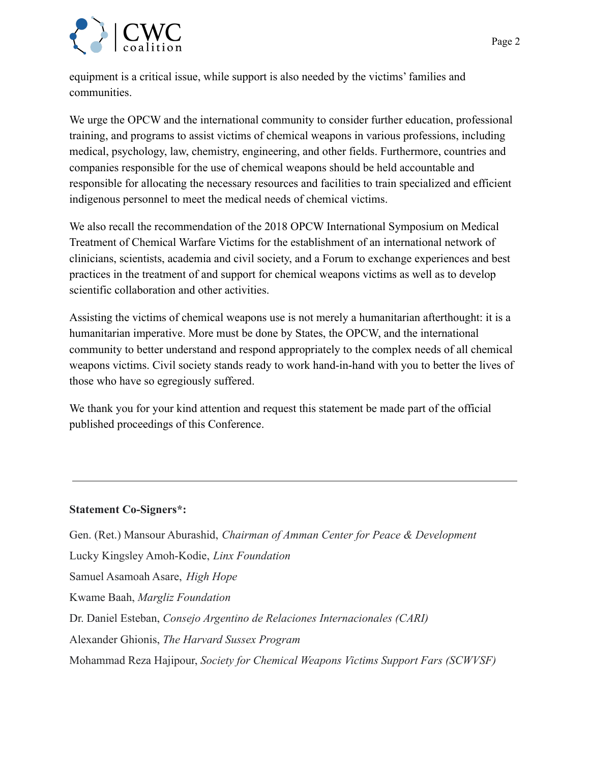

equipment is a critical issue, while support is also needed by the victims' families and communities.

We urge the OPCW and the international community to consider further education, professional training, and programs to assist victims of chemical weapons in various professions, including medical, psychology, law, chemistry, engineering, and other fields. Furthermore, countries and companies responsible for the use of chemical weapons should be held accountable and responsible for allocating the necessary resources and facilities to train specialized and efficient indigenous personnel to meet the medical needs of chemical victims.

We also recall the recommendation of the 2018 OPCW International Symposium on Medical Treatment of Chemical Warfare Victims for the establishment of an international network of clinicians, scientists, academia and civil society, and a Forum to exchange experiences and best practices in the treatment of and support for chemical weapons victims as well as to develop scientific collaboration and other activities.

Assisting the victims of chemical weapons use is not merely a humanitarian afterthought: it is a humanitarian imperative. More must be done by States, the OPCW, and the international community to better understand and respond appropriately to the complex needs of all chemical weapons victims. Civil society stands ready to work hand-in-hand with you to better the lives of those who have so egregiously suffered.

We thank you for your kind attention and request this statement be made part of the official published proceedings of this Conference.

## **Statement Co-Signers\*:**

Gen. (Ret.) Mansour Aburashid, *Chairman of Amman Center for Peace & Development* Lucky Kingsley Amoh-Kodie, *Linx Foundation* Samuel Asamoah Asare, *High Hope* Kwame Baah, *Margliz Foundation* Dr. Daniel Esteban, *Consejo Argentino de Relaciones Internacionales (CARI)* Alexander Ghionis, *The Harvard Sussex Program* Mohammad Reza Hajipour, *Society for Chemical Weapons Victims Support Fars (SCWVSF)*